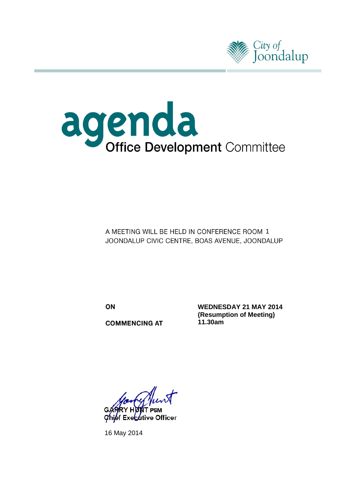



A MEETING WILL BE HELD IN CONFERENCE ROOM 1 JOONDALUP CIVIC CENTRE, BOAS AVENUE, JOONDALUP

ON

**COMMENCING AT** 

**WEDNESDAY 21 MAY 2014 (Resumption of Meeting) 11.30am**

Chief Executive Officer

16 May 2014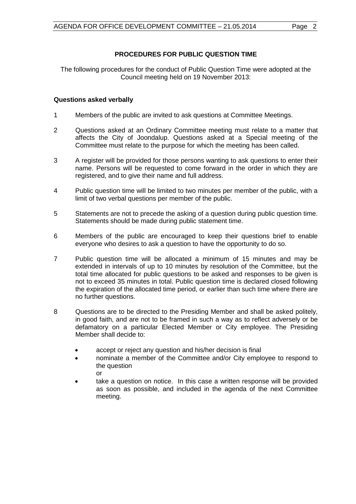# **PROCEDURES FOR PUBLIC QUESTION TIME**

The following procedures for the conduct of Public Question Time were adopted at the Council meeting held on 19 November 2013:

# **Questions asked verbally**

- 1 Members of the public are invited to ask questions at Committee Meetings.
- 2 Questions asked at an Ordinary Committee meeting must relate to a matter that affects the City of Joondalup. Questions asked at a Special meeting of the Committee must relate to the purpose for which the meeting has been called.
- 3 A register will be provided for those persons wanting to ask questions to enter their name. Persons will be requested to come forward in the order in which they are registered, and to give their name and full address.
- 4 Public question time will be limited to two minutes per member of the public, with a limit of two verbal questions per member of the public.
- 5 Statements are not to precede the asking of a question during public question time. Statements should be made during public statement time.
- 6 Members of the public are encouraged to keep their questions brief to enable everyone who desires to ask a question to have the opportunity to do so.
- 7 Public question time will be allocated a minimum of 15 minutes and may be extended in intervals of up to 10 minutes by resolution of the Committee, but the total time allocated for public questions to be asked and responses to be given is not to exceed 35 minutes in total. Public question time is declared closed following the expiration of the allocated time period, or earlier than such time where there are no further questions.
- 8 Questions are to be directed to the Presiding Member and shall be asked politely, in good faith, and are not to be framed in such a way as to reflect adversely or be defamatory on a particular Elected Member or City employee. The Presiding Member shall decide to:
	- accept or reject any question and his/her decision is final
	- nominate a member of the Committee and/or City employee to respond to the question or
	- take a question on notice. In this case a written response will be provided as soon as possible, and included in the agenda of the next Committee meeting.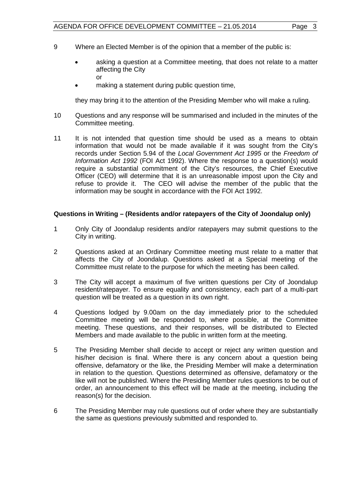- 9 Where an Elected Member is of the opinion that a member of the public is:
	- asking a question at a Committee meeting, that does not relate to a matter affecting the City or
	- making a statement during public question time,

they may bring it to the attention of the Presiding Member who will make a ruling.

- 10 Questions and any response will be summarised and included in the minutes of the Committee meeting.
- 11 It is not intended that question time should be used as a means to obtain information that would not be made available if it was sought from the City's records under Section 5.94 of the *Local Government Act 1995* or the *Freedom of Information Act 1992* (FOI Act 1992). Where the response to a question(s) would require a substantial commitment of the City's resources, the Chief Executive Officer (CEO) will determine that it is an unreasonable impost upon the City and refuse to provide it. The CEO will advise the member of the public that the information may be sought in accordance with the FOI Act 1992.

#### **Questions in Writing – (Residents and/or ratepayers of the City of Joondalup only)**

- 1 Only City of Joondalup residents and/or ratepayers may submit questions to the City in writing.
- 2 Questions asked at an Ordinary Committee meeting must relate to a matter that affects the City of Joondalup. Questions asked at a Special meeting of the Committee must relate to the purpose for which the meeting has been called.
- 3 The City will accept a maximum of five written questions per City of Joondalup resident/ratepayer. To ensure equality and consistency, each part of a multi-part question will be treated as a question in its own right.
- 4 Questions lodged by 9.00am on the day immediately prior to the scheduled Committee meeting will be responded to, where possible, at the Committee meeting. These questions, and their responses, will be distributed to Elected Members and made available to the public in written form at the meeting.
- 5 The Presiding Member shall decide to accept or reject any written question and his/her decision is final. Where there is any concern about a question being offensive, defamatory or the like, the Presiding Member will make a determination in relation to the question. Questions determined as offensive, defamatory or the like will not be published. Where the Presiding Member rules questions to be out of order, an announcement to this effect will be made at the meeting, including the reason(s) for the decision.
- 6 The Presiding Member may rule questions out of order where they are substantially the same as questions previously submitted and responded to.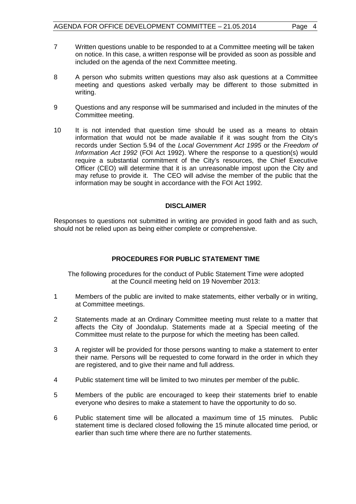- 7 Written questions unable to be responded to at a Committee meeting will be taken on notice. In this case, a written response will be provided as soon as possible and included on the agenda of the next Committee meeting.
- 8 A person who submits written questions may also ask questions at a Committee meeting and questions asked verbally may be different to those submitted in writing.
- 9 Questions and any response will be summarised and included in the minutes of the Committee meeting.
- 10 It is not intended that question time should be used as a means to obtain information that would not be made available if it was sought from the City's records under Section 5.94 of the *Local Government Act 1995* or the *Freedom of Information Act 1992* (FOI Act 1992). Where the response to a question(s) would require a substantial commitment of the City's resources, the Chief Executive Officer (CEO) will determine that it is an unreasonable impost upon the City and may refuse to provide it. The CEO will advise the member of the public that the information may be sought in accordance with the FOI Act 1992.

#### **DISCLAIMER**

Responses to questions not submitted in writing are provided in good faith and as such, should not be relied upon as being either complete or comprehensive.

# **PROCEDURES FOR PUBLIC STATEMENT TIME**

The following procedures for the conduct of Public Statement Time were adopted at the Council meeting held on 19 November 2013:

- 1 Members of the public are invited to make statements, either verbally or in writing, at Committee meetings.
- 2 Statements made at an Ordinary Committee meeting must relate to a matter that affects the City of Joondalup. Statements made at a Special meeting of the Committee must relate to the purpose for which the meeting has been called.
- 3 A register will be provided for those persons wanting to make a statement to enter their name. Persons will be requested to come forward in the order in which they are registered, and to give their name and full address.
- 4 Public statement time will be limited to two minutes per member of the public.
- 5 Members of the public are encouraged to keep their statements brief to enable everyone who desires to make a statement to have the opportunity to do so.
- 6 Public statement time will be allocated a maximum time of 15 minutes. Public statement time is declared closed following the 15 minute allocated time period, or earlier than such time where there are no further statements.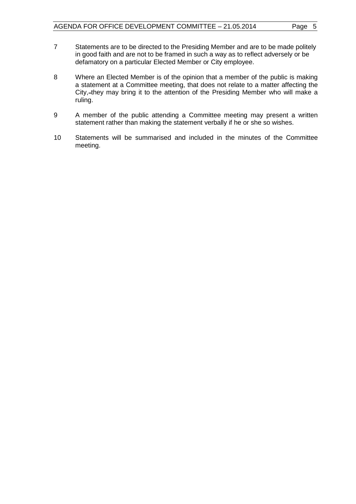- 7 Statements are to be directed to the Presiding Member and are to be made politely in good faith and are not to be framed in such a way as to reflect adversely or be defamatory on a particular Elected Member or City employee.
- 8 Where an Elected Member is of the opinion that a member of the public is making a statement at a Committee meeting, that does not relate to a matter affecting the City,-they may bring it to the attention of the Presiding Member who will make a ruling.
- 9 A member of the public attending a Committee meeting may present a written statement rather than making the statement verbally if he or she so wishes.
- 10 Statements will be summarised and included in the minutes of the Committee meeting.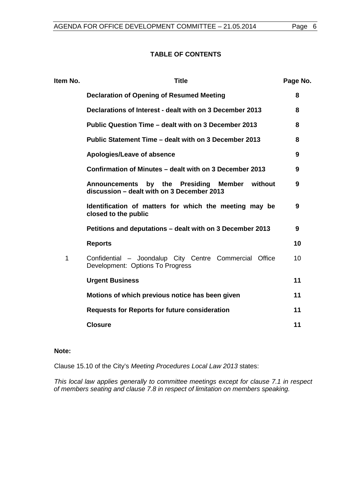#### **TABLE OF CONTENTS**

| Item No. | <b>Title</b>                                                                                   | Page No. |
|----------|------------------------------------------------------------------------------------------------|----------|
|          | <b>Declaration of Opening of Resumed Meeting</b>                                               | 8        |
|          | Declarations of Interest - dealt with on 3 December 2013                                       | 8        |
|          | Public Question Time - dealt with on 3 December 2013                                           | 8        |
|          | Public Statement Time – dealt with on 3 December 2013                                          | 8        |
|          | Apologies/Leave of absence                                                                     | 9        |
|          | Confirmation of Minutes – dealt with on 3 December 2013                                        | 9        |
|          | Announcements by the Presiding<br>Member without<br>discussion - dealt with on 3 December 2013 | 9        |
|          | Identification of matters for which the meeting may be<br>closed to the public                 | 9        |
|          | Petitions and deputations – dealt with on 3 December 2013                                      | 9        |
|          | <b>Reports</b>                                                                                 | 10       |
| 1        | Confidential - Joondalup City Centre Commercial Office<br>Development: Options To Progress     | 10       |
|          | <b>Urgent Business</b>                                                                         | 11       |
|          | Motions of which previous notice has been given                                                | 11       |
|          | <b>Requests for Reports for future consideration</b>                                           | 11       |
|          | <b>Closure</b>                                                                                 | 11       |

# **Note:**

Clause 15.10 of the City's *Meeting Procedures Local Law 2013* states:

*This local law applies generally to committee meetings except for clause 7.1 in respect of members seating and clause 7.8 in respect of limitation on members speaking.*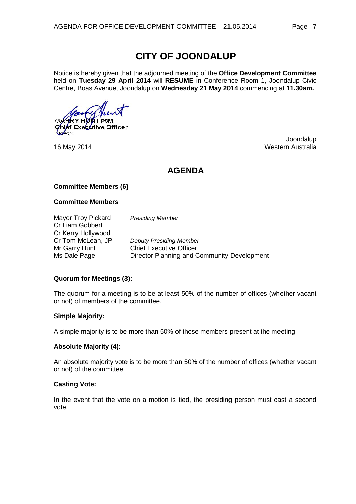# **CITY OF JOONDALUP**

Notice is hereby given that the adjourned meeting of the **Office Development Committee** held on **Tuesday 29 April 2014** will **RESUME** in Conference Room 1, Joondalup Civic Centre, Boas Avenue, Joondalup on **Wednesday 21 May 2014** commencing at **11.30am.**

ef Exe<mark>c∡</mark>ttive Officer

Joondalup 16 May 2014 **Western Australia** 

# **AGENDA**

# **Committee Members (6)**

#### **Committee Members**

Mayor Troy Pickard *Presiding Member* Cr Liam Gobbert Cr Kerry Hollywood<br>Cr Tom McLean, JP **Deputy Presiding Member** Mr Garry Hunt Chief Executive Officer Ms Dale Page **Director Planning and Community Development** 

# **Quorum for Meetings (3):**

The quorum for a meeting is to be at least 50% of the number of offices (whether vacant or not) of members of the committee.

# **Simple Majority:**

A simple majority is to be more than 50% of those members present at the meeting.

# **Absolute Majority (4):**

An absolute majority vote is to be more than 50% of the number of offices (whether vacant or not) of the committee.

# **Casting Vote:**

In the event that the vote on a motion is tied, the presiding person must cast a second vote.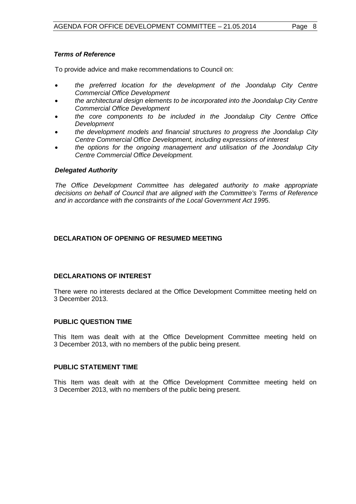# *Terms of Reference*

To provide advice and make recommendations to Council on:

- *the preferred location for the development of the Joondalup City Centre Commercial Office Development*
- *the architectural design elements to be incorporated into the Joondalup City Centre Commercial Office Development*
- *the core components to be included in the Joondalup City Centre Office Development*
- *the development models and financial structures to progress the Joondalup City Centre Commercial Office Development, including expressions of interest*
- *the options for the ongoing management and utilisation of the Joondalup City Centre Commercial Office Development.*

#### *Delegated Authority*

*The Office Development Committee has delegated authority to make appropriate decisions on behalf of Council that are aligned with the Committee's Terms of Reference and in accordance with the constraints of the Local Government Act 199*5.

# <span id="page-7-0"></span>**DECLARATION OF OPENING OF RESUMED MEETING**

# <span id="page-7-1"></span>**DECLARATIONS OF INTEREST**

There were no interests declared at the Office Development Committee meeting held on 3 December 2013.

# <span id="page-7-2"></span>**PUBLIC QUESTION TIME**

This Item was dealt with at the Office Development Committee meeting held on 3 December 2013, with no members of the public being present.

#### <span id="page-7-3"></span>**PUBLIC STATEMENT TIME**

This Item was dealt with at the Office Development Committee meeting held on 3 December 2013, with no members of the public being present.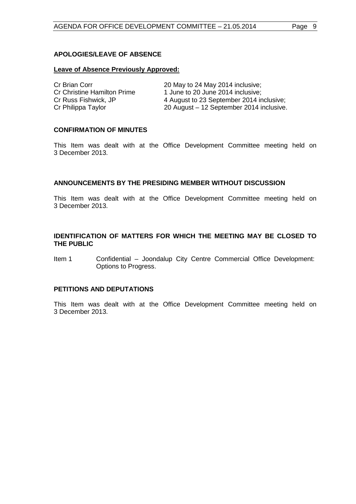# <span id="page-8-0"></span>**APOLOGIES/LEAVE OF ABSENCE**

#### **Leave of Absence Previously Approved:**

| Cr Brian Corr               | 20 May to 24 May 2014 inclusive;         |
|-----------------------------|------------------------------------------|
| Cr Christine Hamilton Prime | 1 June to 20 June 2014 inclusive:        |
| Cr Russ Fishwick, JP        | 4 August to 23 September 2014 inclusive; |
| Cr Philippa Taylor          | 20 August - 12 September 2014 inclusive. |

#### <span id="page-8-1"></span>**CONFIRMATION OF MINUTES**

This Item was dealt with at the Office Development Committee meeting held on 3 December 2013.

#### <span id="page-8-2"></span>**ANNOUNCEMENTS BY THE PRESIDING MEMBER WITHOUT DISCUSSION**

This Item was dealt with at the Office Development Committee meeting held on 3 December 2013.

#### <span id="page-8-3"></span>**IDENTIFICATION OF MATTERS FOR WHICH THE MEETING MAY BE CLOSED TO THE PUBLIC**

Item 1 Confidential – Joondalup City Centre Commercial Office Development: Options to Progress.

#### <span id="page-8-4"></span>**PETITIONS AND DEPUTATIONS**

This Item was dealt with at the Office Development Committee meeting held on 3 December 2013.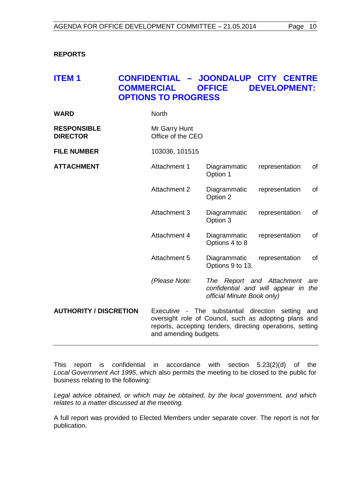# <span id="page-9-0"></span>**REPORTS**

# <span id="page-9-1"></span>**ITEM 1 CONFIDENTIAL – JOONDALUP CITY CENTRE OFFICE DEVELOPMENT: OPTIONS TO PROGRESS**

| <b>WARD</b>                           | <b>North</b>                                                                                                                                                                                        |                                                         |                                     |     |
|---------------------------------------|-----------------------------------------------------------------------------------------------------------------------------------------------------------------------------------------------------|---------------------------------------------------------|-------------------------------------|-----|
| <b>RESPONSIBLE</b><br><b>DIRECTOR</b> | Mr Garry Hunt<br>Office of the CEO                                                                                                                                                                  |                                                         |                                     |     |
| <b>FILE NUMBER</b>                    | 103036, 101515                                                                                                                                                                                      |                                                         |                                     |     |
| <b>ATTACHMENT</b>                     | Attachment 1                                                                                                                                                                                        | Diagrammatic<br>Option 1                                | representation                      | of  |
|                                       | <b>Attachment 2</b>                                                                                                                                                                                 | Diagrammatic<br>Option 2                                | representation                      | of  |
|                                       | <b>Attachment 3</b>                                                                                                                                                                                 | Diagrammatic<br>Option 3                                | representation                      | of  |
|                                       | Attachment 4                                                                                                                                                                                        | Diagrammatic<br>Options 4 to 8                          | representation                      | of  |
|                                       | Attachment 5                                                                                                                                                                                        | Diagrammatic<br>Options 9 to 13.                        | representation                      | of  |
|                                       | (Please Note:                                                                                                                                                                                       | The Report and Attachment<br>official Minute Book only) | confidential and will appear in the | are |
| <b>AUTHORITY / DISCRETION</b>         | Executive - The substantial direction setting<br>and<br>oversight role of Council, such as adopting plans and<br>reports, accepting tenders, directing operations, setting<br>and amending budgets. |                                                         |                                     |     |

This report is confidential in accordance with section 5.23(2)(d) of the *Local Government Act 1995*, which also permits the meeting to be closed to the public for business relating to the following:

*Legal advice obtained, or which may be obtained, by the local government, and which relates to a matter discussed at the meeting.*

A full report was provided to Elected Members under separate cover. The report is not for publication.